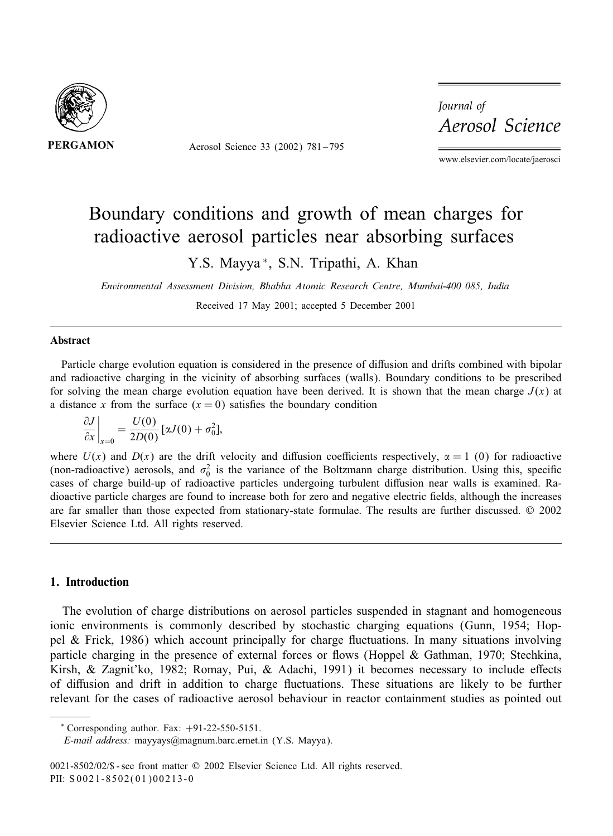

Aerosol Science 33 (2002) 781 – 795

Journal of Aerosol Science

www.elsevier.com/locate/jaerosci

# Boundary conditions and growth of mean charges for radioactive aerosol particles near absorbing surfaces

Y.S. Mayya <sup>∗</sup>, S.N. Tripathi, A. Khan

*Environmental Assessment Division, Bhabha Atomic Research Centre, Mumbai-400 085, India*

Received 17 May 2001; accepted 5 December 2001

#### Abstract

Particle charge evolution equation is considered in the presence of diffusion and drifts combined with bipolar and radioactive charging in the vicinity of absorbing surfaces (walls). Boundary conditions to be prescribed for solving the mean charge evolution equation have been derived. It is shown that the mean charge  $J(x)$  at a distance x from the surface  $(x = 0)$  satisfies the boundary condition

$$
\left.\frac{\partial J}{\partial x}\right|_{x=0} = \frac{U(0)}{2D(0)}\left[\alpha J(0) + \sigma_0^2\right],
$$

where  $U(x)$  and  $D(x)$  are the drift velocity and diffusion coefficients respectively,  $\alpha = 1$  (0) for radioactive (non-radioactive) aerosols, and  $\sigma_0^2$  is the variance of the Boltzmann charge distribution. Using this, specific cases of charge build-up of radioactive particles undergoing turbulent diffusion near walls is examined. Radioactive particle charges are found to increase both for zero and negative electric fields, although the increases are far smaller than those expected from stationary-state formulae. The results are further discussed. © 2002 Elsevier Science Ltd. All rights reserved.

## 1. Introduction

The evolution of charge distributions on aerosol particles suspended in stagnant and homogeneous ionic environments is commonly described by stochastic charging equations (Gunn, 1954; Hoppel  $\&$  Frick, 1986) which account principally for charge fluctuations. In many situations involving particle charging in the presence of external forces or flows (Hoppel & Gathman, 1970; Stechkina, Kirsh, & Zagnit'ko, 1982; Romay, Pui, & Adachi, 1991) it becomes necessary to include effects of diffusion and drift in addition to charge fluctuations. These situations are likely to be further relevant for the cases of radioactive aerosol behaviour in reactor containment studies as pointed out

 $*$  Corresponding author. Fax:  $+91-22-550-5151$ .

*E-mail address:* mayyays@magnum.barc.ernet.in (Y.S. Mayya).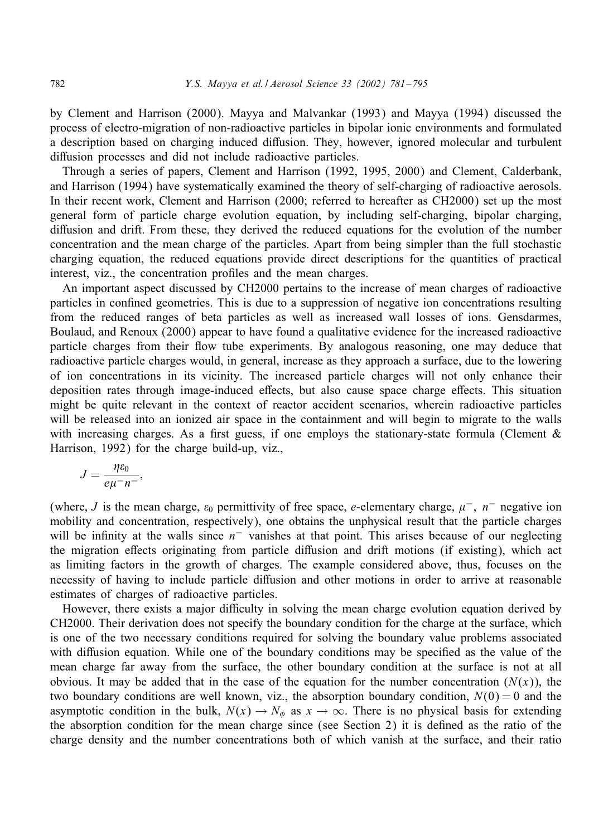by Clement and Harrison (2000). Mayya and Malvankar (1993) and Mayya (1994) discussed the process of electro-migration of non-radioactive particles in bipolar ionic environments and formulated a description based on charging induced diffusion. They, however, ignored molecular and turbulent diffusion processes and did not include radioactive particles.

Through a series of papers, Clement and Harrison (1992, 1995, 2000) and Clement, Calderbank, and Harrison (1994) have systematically examined the theory of self-charging of radioactive aerosols. In their recent work, Clement and Harrison (2000; referred to hereafter as CH2000) set up the most general form of particle charge evolution equation, by including self-charging, bipolar charging, diffusion and drift. From these, they derived the reduced equations for the evolution of the number concentration and the mean charge of the particles. Apart from being simpler than the full stochastic charging equation, the reduced equations provide direct descriptions for the quantities of practical interest, viz., the concentration profiles and the mean charges.

An important aspect discussed by CH2000 pertains to the increase of mean charges of radioactive particles in confined geometries. This is due to a suppression of negative ion concentrations resulting from the reduced ranges of beta particles as well as increased wall losses of ions. Gensdarmes, Boulaud, and Renoux (2000) appear to have found a qualitative evidence for the increased radioactive particle charges from their flow tube experiments. By analogous reasoning, one may deduce that radioactive particle charges would, in general, increase as they approach a surface, due to the lowering of ion concentrations in its vicinity. The increased particle charges will not only enhance their deposition rates through image-induced effects, but also cause space charge effects. This situation might be quite relevant in the context of reactor accident scenarios, wherein radioactive particles will be released into an ionized air space in the containment and will begin to migrate to the walls with increasing charges. As a first guess, if one employs the stationary-state formula (Clement  $\&$ Harrison, 1992) for the charge build-up, viz.,

$$
J=\frac{\eta \varepsilon_0}{e\mu^- n^-},
$$

(where, J is the mean charge,  $\varepsilon_0$  permittivity of free space, e-elementary charge,  $\mu^-$ ,  $n^-$  negative ion mobility and concentration, respectively), one obtains the unphysical result that the particle charges will be infinity at the walls since  $n^-$  vanishes at that point. This arises because of our neglecting the migration effects originating from particle diffusion and drift motions (if existing), which act as limiting factors in the growth of charges. The example considered above, thus, focuses on the necessity of having to include particle diffusion and other motions in order to arrive at reasonable estimates of charges of radioactive particles.

However, there exists a major difficulty in solving the mean charge evolution equation derived by CH2000. Their derivation does not specify the boundary condition for the charge at the surface, which is one of the two necessary conditions required for solving the boundary value problems associated with diffusion equation. While one of the boundary conditions may be specified as the value of the mean charge far away from the surface, the other boundary condition at the surface is not at all obvious. It may be added that in the case of the equation for the number concentration  $(N(x))$ , the two boundary conditions are well known, viz., the absorption boundary condition,  $N(0) = 0$  and the asymptotic condition in the bulk,  $N(x) \to N_\phi$  as  $x \to \infty$ . There is no physical basis for extending the absorption condition for the mean charge since (see Section 2) it is defined as the ratio of the charge density and the number concentrations both of which vanish at the surface, and their ratio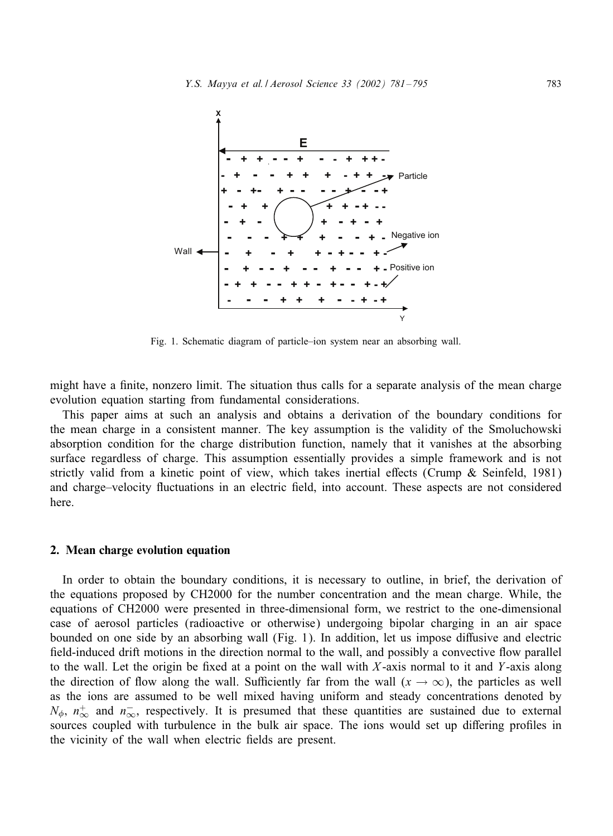

Fig. 1. Schematic diagram of particle–ion system near an absorbing wall.

might have a finite, nonzero limit. The situation thus calls for a separate analysis of the mean charge evolution equation starting from fundamental considerations.

This paper aims at such an analysis and obtains a derivation of the boundary conditions for the mean charge in a consistent manner. The key assumption is the validity of the Smoluchowski absorption condition for the charge distribution function, namely that it vanishes at the absorbing surface regardless of charge. This assumption essentially provides a simple framework and is not strictly valid from a kinetic point of view, which takes inertial effects (Crump  $\&$  Seinfeld, 1981) and charge–velocity fluctuations in an electric field, into account. These aspects are not considered here.

#### 2. Mean charge evolution equation

In order to obtain the boundary conditions, it is necessary to outline, in brief, the derivation of the equations proposed by CH2000 for the number concentration and the mean charge. While, the equations of CH2000 were presented in three-dimensional form, we restrict to the one-dimensional case of aerosol particles (radioactive or otherwise) undergoing bipolar charging in an air space bounded on one side by an absorbing wall (Fig. 1). In addition, let us impose diffusive and electric field-induced drift motions in the direction normal to the wall, and possibly a convective flow parallel to the wall. Let the origin be fixed at a point on the wall with  $X$ -axis normal to it and  $Y$ -axis along the direction of flow along the wall. Sufficiently far from the wall  $(x \to \infty)$ , the particles as well as the ions are assumed to be well mixed having uniform and steady concentrations denoted by  $N_{\phi}$ ,  $n_{\infty}^{+}$  and  $n_{\infty}^{-}$ , respectively. It is presumed that these quantities are sustained due to external sources coupled with turbulence in the bulk air space. The ions would set up differing profiles in the vicinity of the wall when electric fields are present.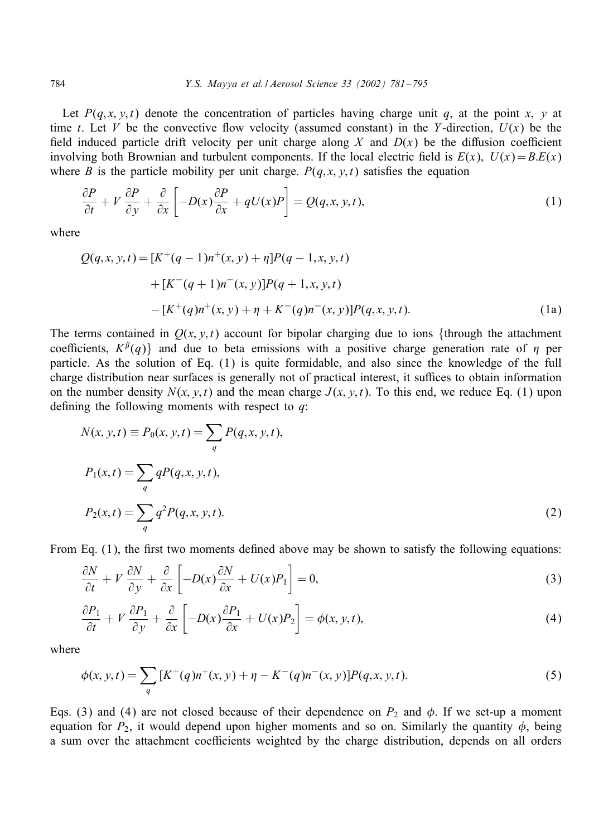Let  $P(q, x, y, t)$  denote the concentration of particles having charge unit q, at the point x, y at time t. Let V be the convective flow velocity (assumed constant) in the Y-direction,  $U(x)$  be the field induced particle drift velocity per unit charge along X and  $D(x)$  be the diffusion coefficient involving both Brownian and turbulent components. If the local electric field is  $E(x)$ ,  $U(x) = BE(x)$ where B is the particle mobility per unit charge.  $P(q, x, y, t)$  satisfies the equation

$$
\frac{\partial P}{\partial t} + V \frac{\partial P}{\partial y} + \frac{\partial}{\partial x} \left[ -D(x) \frac{\partial P}{\partial x} + qU(x)P \right] = Q(q, x, y, t),\tag{1}
$$

where

$$
Q(q, x, y, t) = [K^+(q - 1)n^+(x, y) + \eta]P(q - 1, x, y, t)
$$
  
+ 
$$
[K^-(q + 1)n^-(x, y)]P(q + 1, x, y, t)
$$
  
- 
$$
[K^+(q)n^+(x, y) + \eta + K^-(q)n^-(x, y)]P(q, x, y, t).
$$
 (1a)

The terms contained in  $Q(x, y, t)$  account for bipolar charging due to ions {through the attachment coefficients,  $K^{\beta}(q)$  and due to beta emissions with a positive charge generation rate of  $\eta$  per particle. As the solution of Eq. (1) is quite formidable, and also since the knowledge of the full charge distribution near surfaces is generally not of practical interest, it suffices to obtain information on the number density  $N(x, y, t)$  and the mean charge  $J(x, y, t)$ . To this end, we reduce Eq. (1) upon defining the following moments with respect to  $q$ :

$$
N(x, y, t) \equiv P_0(x, y, t) = \sum_{q} P(q, x, y, t),
$$
  
\n
$$
P_1(x, t) = \sum_{q} q P(q, x, y, t),
$$
  
\n
$$
P_2(x, t) = \sum_{q} q^2 P(q, x, y, t).
$$
\n(2)

From Eq.  $(1)$ , the first two moments defined above may be shown to satisfy the following equations:

$$
\frac{\partial N}{\partial t} + V \frac{\partial N}{\partial y} + \frac{\partial}{\partial x} \left[ -D(x) \frac{\partial N}{\partial x} + U(x) P_1 \right] = 0, \tag{3}
$$

$$
\frac{\partial P_1}{\partial t} + V \frac{\partial P_1}{\partial y} + \frac{\partial}{\partial x} \left[ -D(x) \frac{\partial P_1}{\partial x} + U(x) P_2 \right] = \phi(x, y, t),\tag{4}
$$

where

$$
\phi(x, y, t) = \sum_{q} \left[ K^{+}(q) n^{+}(x, y) + \eta - K^{-}(q) n^{-}(x, y) \right] P(q, x, y, t). \tag{5}
$$

Eqs. (3) and (4) are not closed because of their dependence on  $P_2$  and  $\phi$ . If we set-up a moment equation for  $P_2$ , it would depend upon higher moments and so on. Similarly the quantity  $\phi$ , being a sum over the attachment coefficients weighted by the charge distribution, depends on all orders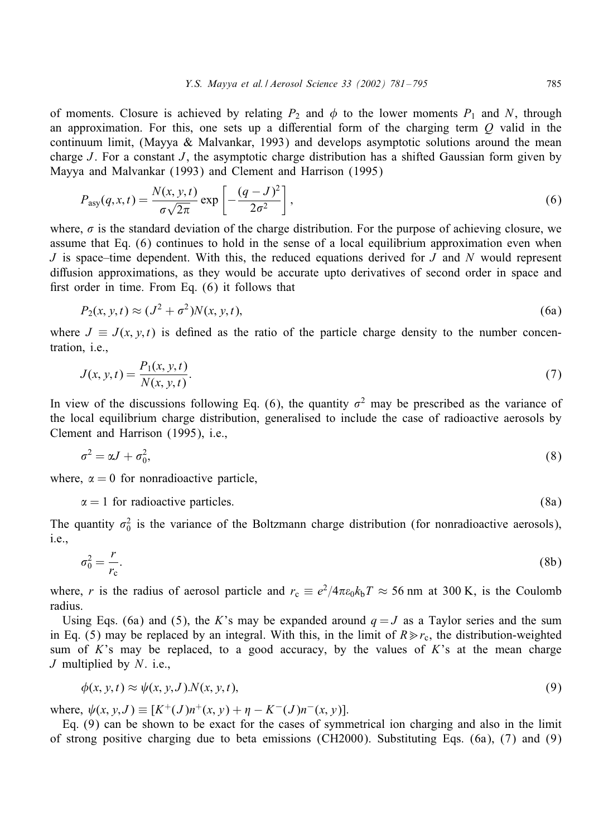of moments. Closure is achieved by relating  $P_2$  and  $\phi$  to the lower moments  $P_1$  and N, through an approximation. For this, one sets up a differential form of the charging term  $Q$  valid in the continuum limit, (Mayya & Malvankar, 1993) and develops asymptotic solutions around the mean charge J. For a constant J, the asymptotic charge distribution has a shifted Gaussian form given by Mayya and Malvankar (1993) and Clement and Harrison (1995)

$$
P_{\text{asy}}(q, x, t) = \frac{N(x, y, t)}{\sigma\sqrt{2\pi}} \exp\left[-\frac{(q - J)^2}{2\sigma^2}\right],\tag{6}
$$

where,  $\sigma$  is the standard deviation of the charge distribution. For the purpose of achieving closure, we assume that Eq.  $(6)$  continues to hold in the sense of a local equilibrium approximation even when J is space–time dependent. With this, the reduced equations derived for J and N would represent diffusion approximations, as they would be accurate upto derivatives of second order in space and first order in time. From Eq.  $(6)$  it follows that

$$
P_2(x, y, t) \approx (J^2 + \sigma^2) N(x, y, t), \tag{6a}
$$

where  $J \equiv J(x, y, t)$  is defined as the ratio of the particle charge density to the number concentration, i.e.,

$$
J(x, y, t) = \frac{P_1(x, y, t)}{N(x, y, t)}.
$$
\n(7)

In view of the discussions following Eq. (6), the quantity  $\sigma^2$  may be prescribed as the variance of the local equilibrium charge distribution, generalised to include the case of radioactive aerosols by Clement and Harrison (1995), i.e.,

$$
\sigma^2 = \alpha J + \sigma_0^2,\tag{8}
$$

where,  $\alpha = 0$  for nonradioactive particle,

$$
\alpha = 1 \text{ for radioactive particles.} \tag{8a}
$$

The quantity  $\sigma_0^2$  is the variance of the Boltzmann charge distribution (for nonradioactive aerosols), i.e.,

$$
\sigma_0^2 = \frac{r}{r_c}.\tag{8b}
$$

where, r is the radius of aerosol particle and  $r_c \equiv e^2/4\pi\epsilon_0 k_b T \approx 56$  nm at 300 K, is the Coulomb radius.

Using Eqs. (6a) and (5), the K's may be expanded around  $q = J$  as a Taylor series and the sum in Eq. (5) may be replaced by an integral. With this, in the limit of  $R \gg r_c$ , the distribution-weighted sum of K's may be replaced, to a good accuracy, by the values of K's at the mean charge J multiplied by  $N$ . i.e.,

$$
\phi(x, y, t) \approx \psi(x, y, J) \cdot N(x, y, t),\tag{9}
$$

where,  $\psi(x, y, J) \equiv [K^+(J)n^+(x, y) + \eta - K^-(J)n^-(x, y)].$ 

Eq. (9) can be shown to be exact for the cases of symmetrical ion charging andalso in the limit of strong positive charging due to beta emissions (CH2000). Substituting Eqs. (6a), (7) and (9)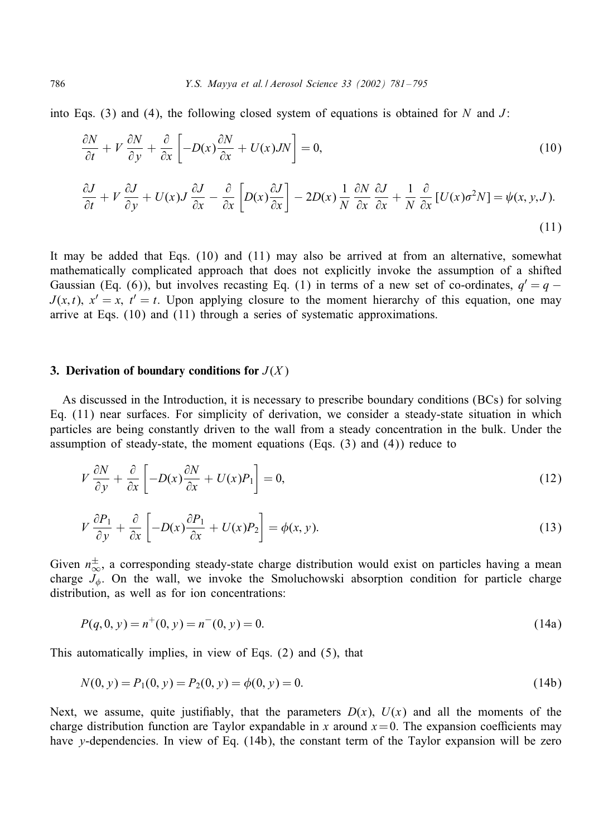into Eqs. (3) and (4), the following closed system of equations is obtained for N and J:

$$
\frac{\partial N}{\partial t} + V \frac{\partial N}{\partial y} + \frac{\partial}{\partial x} \left[ -D(x) \frac{\partial N}{\partial x} + U(x) J N \right] = 0, \tag{10}
$$

$$
\frac{\partial J}{\partial t} + V \frac{\partial J}{\partial y} + U(x)J \frac{\partial J}{\partial x} - \frac{\partial}{\partial x} \left[ D(x) \frac{\partial J}{\partial x} \right] - 2D(x) \frac{1}{N} \frac{\partial N}{\partial x} \frac{\partial J}{\partial x} + \frac{1}{N} \frac{\partial}{\partial x} \left[ U(x) \sigma^2 N \right] = \psi(x, y, J). \tag{11}
$$

It may be added that Eqs.  $(10)$  and  $(11)$  may also be arrived at from an alternative, somewhat mathematically complicated approach that does not explicitly invoke the assumption of a shifted Gaussian (Eq. (6)), but involves recasting Eq. (1) in terms of a new set of co-ordinates,  $q' = q J(x, t)$ ,  $x' = x$ ,  $t' = t$ . Upon applying closure to the moment hierarchy of this equation, one may arrive at Eqs.  $(10)$  and  $(11)$  through a series of systematic approximations.

#### 3. Derivation of boundary conditions for  $J(X)$

As discussed in the Introduction, it is necessary to prescribe boundary conditions (BCs) for solving Eq. (11) near surfaces. For simplicity of derivation, we consider a steady-state situation in which particles are being constantly driven to the wall from a steady concentration in the bulk. Under the assumption of steady-state, the moment equations (Eqs.  $(3)$  and  $(4)$ ) reduce to

$$
V\frac{\partial N}{\partial y} + \frac{\partial}{\partial x} \left[ -D(x)\frac{\partial N}{\partial x} + U(x)P_1 \right] = 0,
$$
\n(12)

$$
V\frac{\partial P_1}{\partial y} + \frac{\partial}{\partial x} \left[ -D(x)\frac{\partial P_1}{\partial x} + U(x)P_2 \right] = \phi(x, y). \tag{13}
$$

Given  $n^{\pm}_{\infty}$ , a corresponding steady-state charge distribution would exist on particles having a mean charge  $J_{\phi}$ . On the wall, we invoke the Smoluchowski absorption condition for particle charge distribution, as well as for ion concentrations:

$$
P(q,0,y) = n^{+}(0,y) = n^{-}(0,y) = 0.
$$
\n(14a)

This automatically implies, in view of Eqs. (2) and(5), that

$$
N(0, y) = P_1(0, y) = P_2(0, y) = \phi(0, y) = 0.
$$
\n(14b)

Next, we assume, quite justifiably, that the parameters  $D(x)$ ,  $U(x)$  and all the moments of the charge distribution function are Taylor expandable in x around  $x=0$ . The expansion coefficients may have y-dependencies. In view of Eq. (14b), the constant term of the Taylor expansion will be zero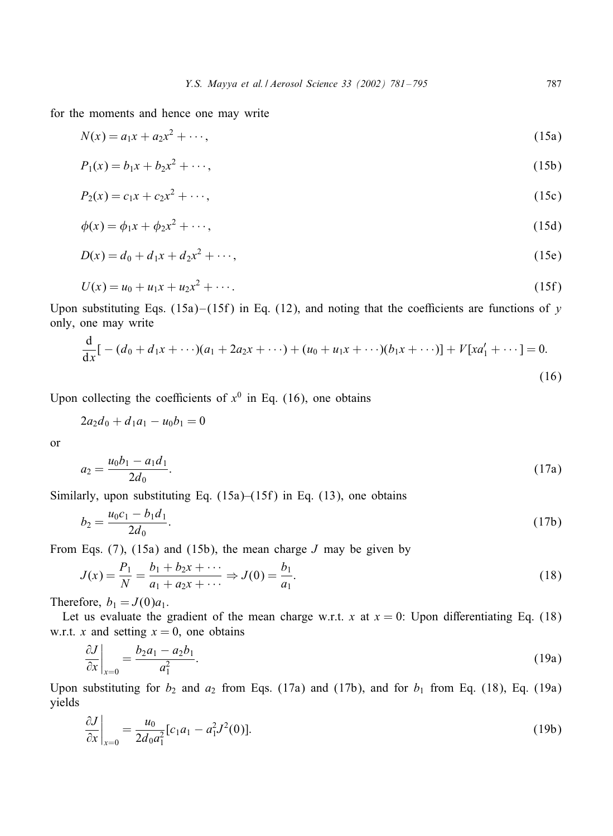for the moments and hence one may write

$$
N(x) = a_1 x + a_2 x^2 + \cdots,
$$
\n(15a)

$$
P_1(x) = b_1 x + b_2 x^2 + \cdots,
$$
\n(15b)

$$
P_2(x) = c_1 x + c_2 x^2 + \cdots, \tag{15c}
$$

$$
\phi(x) = \phi_1 x + \phi_2 x^2 + \cdots,\tag{15d}
$$

$$
D(x) = d_0 + d_1 x + d_2 x^2 + \cdots, \tag{15e}
$$

$$
U(x) = u_0 + u_1 x + u_2 x^2 + \cdots
$$
 (15f)

Upon substituting Eqs. (15a)–(15f) in Eq. (12), and noting that the coefficients are functions of y only, one may write

$$
\frac{d}{dx}\left[ -(d_0 + d_1x + \cdots)(a_1 + 2a_2x + \cdots) + (u_0 + u_1x + \cdots)(b_1x + \cdots)\right] + V[xa'_1 + \cdots] = 0.
$$
\n(16)

Upon collecting the coefficients of  $x^0$  in Eq. (16), one obtains

$$
2a_2d_0 + d_1a_1 - u_0b_1 = 0
$$

or

$$
a_2 = \frac{u_0 b_1 - a_1 d_1}{2d_0}.\tag{17a}
$$

Similarly, upon substituting Eq.  $(15a)$ – $(15f)$  in Eq.  $(13)$ , one obtains

$$
b_2 = \frac{u_0 c_1 - b_1 d_1}{2d_0}.\tag{17b}
$$

From Eqs. (7), (15a) and (15b), the mean charge  $J$  may be given by

$$
J(x) = \frac{P_1}{N} = \frac{b_1 + b_2 x + \dots}{a_1 + a_2 x + \dots} \Rightarrow J(0) = \frac{b_1}{a_1}.
$$
 (18)

Therefore,  $b_1 = J(0)a_1$ .

Let us evaluate the gradient of the mean charge w.r.t. x at  $x = 0$ : Upon differentiating Eq. (18) w.r.t. x and setting  $x = 0$ , one obtains

$$
\left. \frac{\partial J}{\partial x} \right|_{x=0} = \frac{b_2 a_1 - a_2 b_1}{a_1^2}.
$$
\n(19a)

Upon substituting for  $b_2$  and  $a_2$  from Eqs. (17a) and (17b), and for  $b_1$  from Eq. (18), Eq. (19a) yields

$$
\frac{\partial J}{\partial x}\bigg|_{x=0} = \frac{u_0}{2d_0 a_1^2} [c_1 a_1 - a_1^2 J^2(0)].
$$
\n(19b)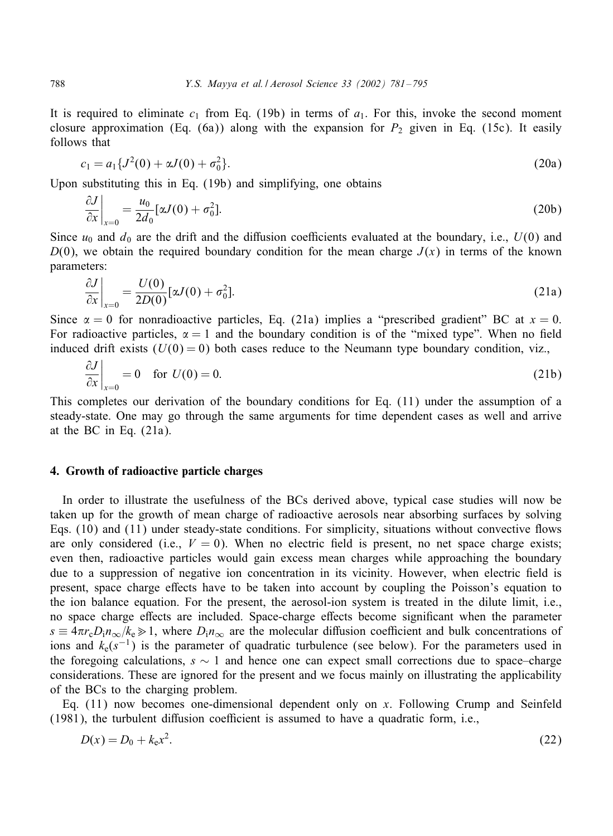It is required to eliminate  $c_1$  from Eq. (19b) in terms of  $a_1$ . For this, invoke the second moment closure approximation (Eq. (6a)) along with the expansion for  $P_2$  given in Eq. (15c). It easily follows that

$$
c_1 = a_1 \{ J^2(0) + \alpha J(0) + \sigma_0^2 \}.
$$
\n(20a)

Upon substituting this in Eq.  $(19b)$  and simplifying, one obtains

$$
\frac{\partial J}{\partial x}\bigg|_{x=0} = \frac{u_0}{2d_0} [\alpha J(0) + \sigma_0^2].
$$
\n(20b)

Since  $u_0$  and  $d_0$  are the drift and the diffusion coefficients evaluated at the boundary, i.e.,  $U(0)$  and  $D(0)$ , we obtain the required boundary condition for the mean charge  $J(x)$  in terms of the known parameters:

$$
\frac{\partial J}{\partial x}\bigg|_{x=0} = \frac{U(0)}{2D(0)}[\alpha J(0) + \sigma_0^2].
$$
\n(21a)

Since  $\alpha = 0$  for nonradioactive particles, Eq. (21a) implies a "prescribed gradient" BC at  $x = 0$ . For radioactive particles,  $\alpha = 1$  and the boundary condition is of the "mixed type". When no field induced drift exists  $(U(0) = 0)$  both cases reduce to the Neumann type boundary condition, viz.,

$$
\left. \frac{\partial J}{\partial x} \right|_{x=0} = 0 \quad \text{for } U(0) = 0. \tag{21b}
$$

This completes our derivation of the boundary conditions for Eq. (11) under the assumption of a steady-state. One may go through the same arguments for time dependent cases as well and arrive at the BC in Eq. (21a).

#### 4. Growth of radioactive particle charges

In order to illustrate the usefulness of the BCs derived above, typical case studies will now be taken up for the growth of mean charge of radioactive aerosols near absorbing surfaces by solving Eqs. (10) and (11) under steady-state conditions. For simplicity, situations without convective Gows are only considered (i.e.,  $V = 0$ ). When no electric field is present, no net space charge exists; even then, radioactive particles would gain excess mean charges while approaching the boundary due to a suppression of negative ion concentration in its vicinity. However, when electric field is present, space charge effects have to be taken into account by coupling the Poisson's equation to the ion balance equation. For the present, the aerosol-ion system is treatedin the dilute limit, i.e., no space charge effects are included. Space-charge effects become significant when the parameter  $s \equiv 4\pi r_c D_i n_\infty/k_e \gg 1$ , where  $D_i n_\infty$  are the molecular diffusion coefficient and bulk concentrations of ions and  $k_e(s^{-1})$  is the parameter of quadratic turbulence (see below). For the parameters used in the foregoing calculations,  $s \sim 1$  and hence one can expect small corrections due to space–charge considerations. These are ignored for the present and we focus mainly on illustrating the applicability of the BCs to the charging problem.

Eq. (11) now becomes one-dimensional dependent only on x. Following Crump and Seinfeld  $(1981)$ , the turbulent diffusion coefficient is assumed to have a quadratic form, i.e.,

$$
D(x) = D_0 + k_e x^2.
$$
 (22)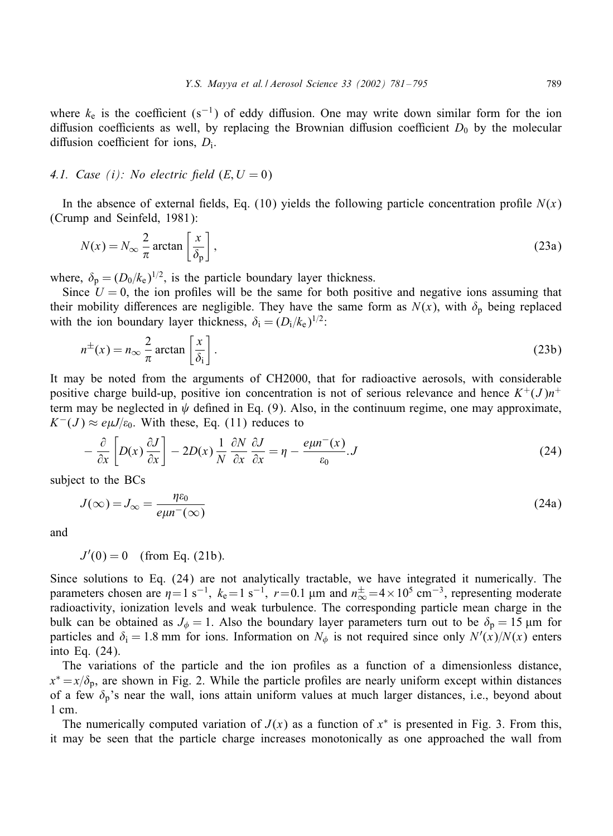where  $k_e$  is the coefficient (s<sup>-1</sup>) of eddy diffusion. One may write down similar form for the ion diffusion coefficients as well, by replacing the Brownian diffusion coefficient  $D_0$  by the molecular diffusion coefficient for ions,  $D_i$ .

## *4.1. Case (i): No electric field*  $(E, U = 0)$

In the absence of external fields, Eq. (10) yields the following particle concentration profile  $N(x)$ (Crump and Seinfeld, 1981):

$$
N(x) = N_{\infty} \frac{2}{\pi} \arctan\left[\frac{x}{\delta_p}\right],
$$
\n(23a)

where,  $\delta_p = (D_0/k_e)^{1/2}$ , is the particle boundary layer thickness.

Since  $U = 0$ , the ion profiles will be the same for both positive and negative ions assuming that their mobility differences are negligible. They have the same form as  $N(x)$ , with  $\delta_p$  being replaced with the ion boundary layer thickness,  $\delta_i = (D_i/k_e)^{1/2}$ :

$$
n^{\pm}(x) = n_{\infty} \frac{2}{\pi} \arctan\left[\frac{x}{\delta_i}\right].
$$
 (23b)

It may be noted from the arguments of CH2000, that for radioactive aerosols, with considerable positive charge build-up, positive ion concentration is not of serious relevance and hence  $K^+(J)n^+$ term may be neglected in  $\psi$  defined in Eq. (9). Also, in the continuum regime, one may approximate,  $K^-(J) \approx e\mu J/\varepsilon_0$ . With these, Eq. (11) reduces to

$$
- \frac{\partial}{\partial x} \left[ D(x) \frac{\partial J}{\partial x} \right] - 2D(x) \frac{1}{N} \frac{\partial N}{\partial x} \frac{\partial J}{\partial x} = \eta - \frac{e\mu n^{-}(x)}{\varepsilon_0} J \tag{24}
$$

subject to the BCs

$$
J(\infty) = J_{\infty} = \frac{\eta \varepsilon_0}{e\mu r^-(\infty)}
$$
\n(24a)

and

 $J'(0) = 0$  (from Eq. (21b).

Since solutions to Eq.  $(24)$  are not analytically tractable, we have integrated it numerically. The parameters chosen are  $\eta = 1 \text{ s}^{-1}$ ,  $k_e = 1 \text{ s}^{-1}$ ,  $r = 0.1 \text{ µm}$  and  $n_{\infty}^{\pm} = 4 \times 10^5 \text{ cm}^{-3}$ , representing moderate radioactivity, ionization levels and weak turbulence. The corresponding particle mean charge in the bulk can be obtained as  $J_{\phi} = 1$ . Also the boundary layer parameters turn out to be  $\delta_{p} = 15 \mu m$  for particles and  $\delta_i = 1.8$  mm for ions. Information on  $N_\phi$  is not required since only  $N'(x)/N(x)$  enters into Eq. (24).

The variations of the particle and the ion profiles as a function of a dimensionless distance,  $x^* = x/\delta_p$ , are shown in Fig. 2. While the particle profiles are nearly uniform except within distances of a few  $\delta_p$ 's near the wall, ions attain uniform values at much larger distances, i.e., beyond about 1 cm.

The numerically computed variation of  $J(x)$  as a function of  $x^*$  is presented in Fig. 3. From this, it may be seen that the particle charge increases monotonically as one approached the wall from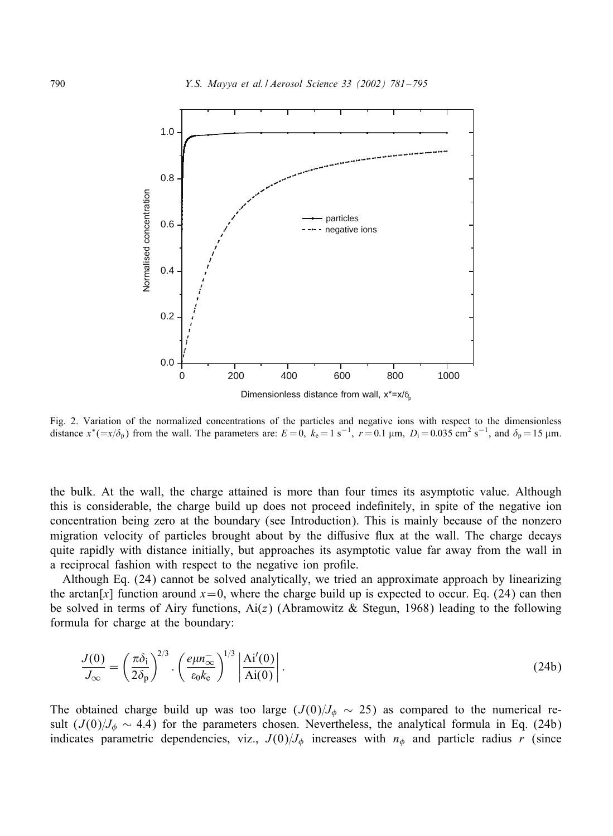

Fig. 2. Variation of the normalized concentrations of the particles and negative ions with respect to the dimensionless distance  $x^* (=x/\delta_p)$  from the wall. The parameters are:  $E = 0$ ,  $k_e = 1$  s<sup>-1</sup>,  $r = 0.1$  µm,  $D_i = 0.035$  cm<sup>2</sup> s<sup>-1</sup>, and  $\delta_p = 15$  µm.

the bulk. At the wall, the charge attained is more than four times its asymptotic value. Although this is considerable, the charge build up does not proceed indefinitely, in spite of the negative ion concentration being zero at the boundary (see Introduction). This is mainly because of the nonzero migration velocity of particles brought about by the diffusive flux at the wall. The charge decays quite rapidly with distance initially, but approaches its asymptotic value far away from the wall in a reciprocal fashion with respect to the negative ion profile.

Although Eq. (24) cannot be solved analytically, we tried an approximate approach by linearizing the arctan[x] function around  $x=0$ , where the charge build up is expected to occur. Eq. (24) can then be solved in terms of Airy functions,  $Ai(z)$  (Abramowitz & Stegun, 1968) leading to the following formula for charge at the boundary:

$$
\frac{J(0)}{J_{\infty}} = \left(\frac{\pi \delta_{\rm i}}{2\delta_{\rm p}}\right)^{2/3} \cdot \left(\frac{e\mu n_{\infty}^-}{\epsilon_0 k_{\rm e}}\right)^{1/3} \left|\frac{\text{Ai}'(0)}{\text{Ai}(0)}\right|.
$$
\n(24b)

The obtained charge build up was too large ( $J (0)/J_\phi \sim 25$ ) as compared to the numerical result  $(J(0)/J<sub>\phi</sub> \sim 4.4)$  for the parameters chosen. Nevertheless, the analytical formula in Eq. (24b) indicates parametric dependencies, viz.,  $J(0)/J_{\phi}$  increases with  $n_{\phi}$  and particle radius r (since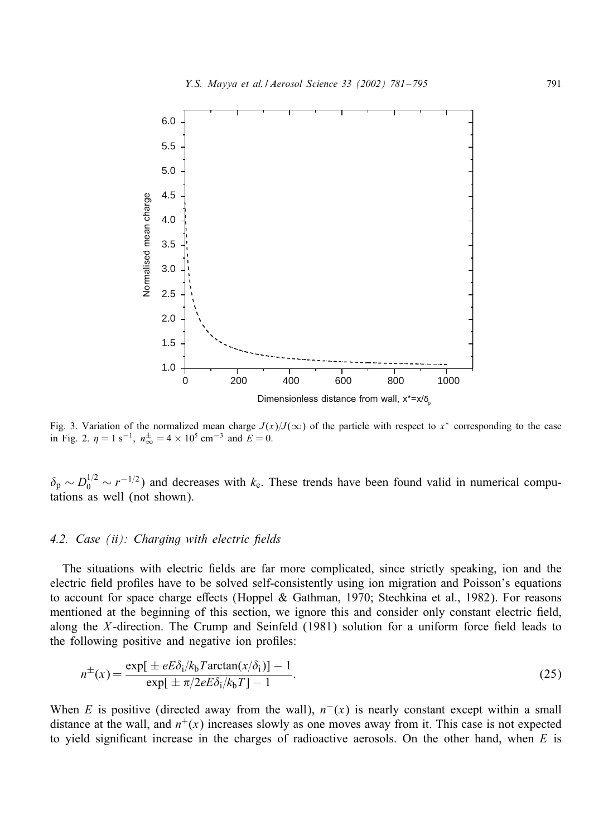

Fig. 3. Variation of the normalized mean charge  $J(x)/J(\infty)$  of the particle with respect to x<sup>\*</sup> corresponding to the case in Fig. 2.  $\eta = 1 \text{ s}^{-1}$ ,  $n_{\infty}^{\pm} = 4 \times 10^5 \text{ cm}^{-3}$  and  $E = 0$ .

 $\delta_p \sim D_0^{1/2} \sim r^{-1/2}$ ) and decreases with  $k_e$ . These trends have been found valid in numerical computations as well (not shown).

#### 4.2. Case *(ii):* Charging with electric fields

The situations with electric fields are far more complicated, since strictly speaking, ion and the electric field profiles have to be solved self-consistently using ion migration and Poisson's equations to account for space charge effects (Hoppel & Gathman, 1970; Stechkina et al., 1982). For reasons mentioned at the beginning of this section, we ignore this and consider only constant electric field, along the X-direction. The Crump and Seinfeld  $(1981)$  solution for a uniform force field leads to the following positive and negative ion profiles:

$$
n^{\pm}(x) = \frac{\exp[\pm eE\delta_i/k_b T \arctan(x/\delta_i)] - 1}{\exp[\pm \pi/2eE\delta_i/k_b T] - 1}.
$$
\n(25)

When E is positive (directed away from the wall),  $n^{-}(x)$  is nearly constant except within a small distance at the wall, and  $n^+(x)$  increases slowly as one moves away from it. This case is not expected to yield significant increase in the charges of radioactive aerosols. On the other hand, when  $E$  is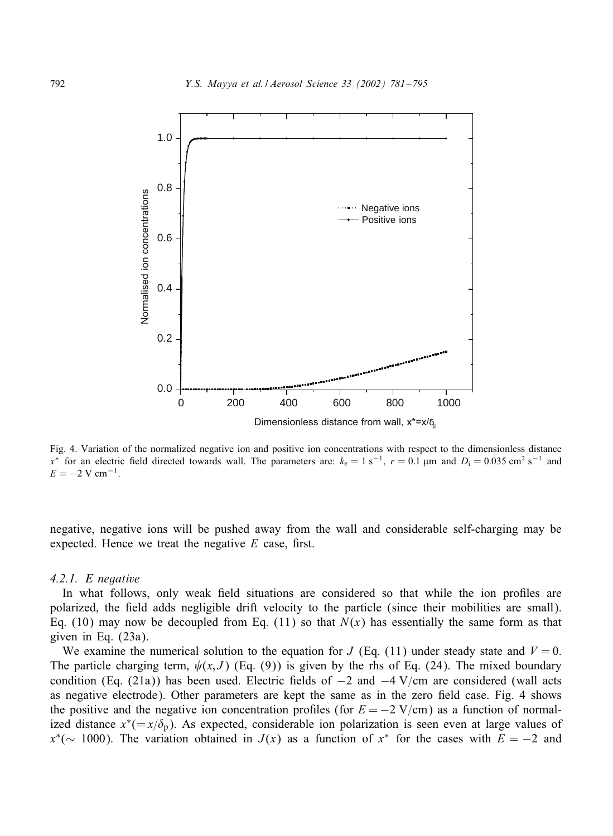![](_page_11_Figure_1.jpeg)

Fig. 4. Variation of the normalized negative ion and positive ion concentrations with respect to the dimensionless distance x<sup>∗</sup> for an electric field directed towards wall. The parameters are:  $k_e = 1$  s<sup>-1</sup>,  $r = 0.1$  µm and  $D_i = 0.035$  cm<sup>2</sup> s<sup>-1</sup> and  $E = -2$  V cm<sup>-1</sup>.

negative, negative ions will be pushed away from the wall and considerable self-charging may be expected. Hence we treat the negative  $E$  case, first.

### *4.2.1. E negative*

In what follows, only weak field situations are considered so that while the ion profiles are polarized, the field adds negligible drift velocity to the particle (since their mobilities are small). Eq. (10) may now be decoupled from Eq. (11) so that  $N(x)$  has essentially the same form as that given in Eq. (23a).

We examine the numerical solution to the equation for  $J$  (Eq. (11) under steady state and  $V = 0$ . The particle charging term,  $\psi(x, J)$  (Eq. (9)) is given by the rhs of Eq. (24). The mixed boundary condition (Eq. (21a)) has been used. Electric fields of  $-2$  and  $-4$  V/cm are considered (wall acts as negative electrode). Other parameters are kept the same as in the zero field case. Fig. 4 shows the positive and the negative ion concentration profiles (for  $E = -2 \text{ V/cm}$ ) as a function of normalized distance  $x^*(-x/\delta_p)$ . As expected, considerable ion polarization is seen even at large values of  $x^*(-1000)$ . The variation obtained in  $J(x)$  as a function of  $x^*$  for the cases with  $E = -2$  and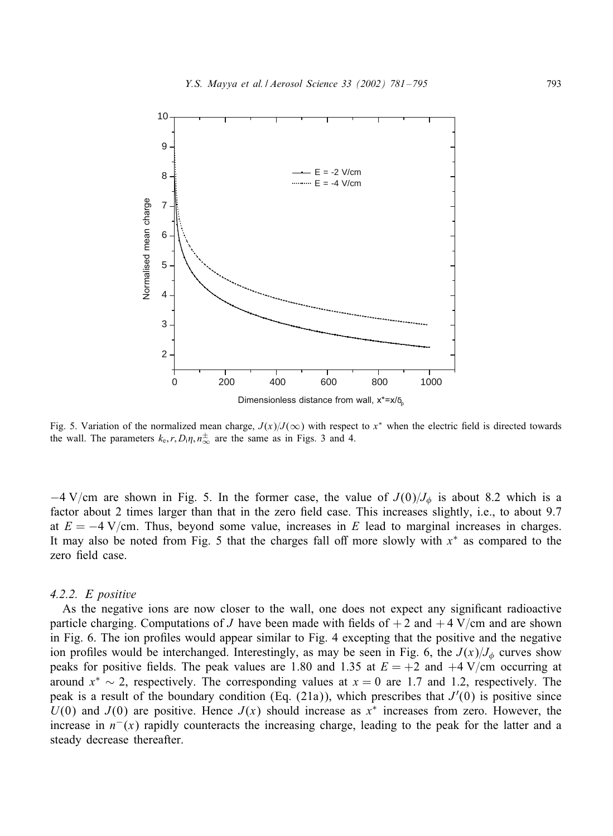![](_page_12_Figure_1.jpeg)

Fig. 5. Variation of the normalized mean charge,  $J(x)/J(\infty)$  with respect to x<sup>\*</sup> when the electric field is directed towards the wall. The parameters  $k_e, r, D_i \eta, n_{\infty}^{\pm}$  are the same as in Figs. 3 and 4.

 $-4$  V/cm are shown in Fig. 5. In the former case, the value of  $J(0)/J_{\phi}$  is about 8.2 which is a factor about 2 times larger than that in the zero field case. This increases slightly, i.e., to about 9.7 at  $E = -4$  V/cm. Thus, beyond some value, increases in E lead to marginal increases in charges. It may also be noted from Fig. 5 that the charges fall off more slowly with  $x^*$  as compared to the zero field case.

## *4.2.2. E positive*

As the negative ions are now closer to the wall, one does not expect any significant radioactive particle charging. Computations of J have been made with fields of  $+2$  and  $+4$  V/cm and are shown in Fig. 6. The ion profiles would appear similar to Fig. 4 excepting that the positive and the negative ion profiles would be interchanged. Interestingly, as may be seen in Fig. 6, the  $J(x)/J_{\phi}$  curves show peaks for positive fields. The peak values are 1.80 and 1.35 at  $E = +2$  and  $+4$  V/cm occurring at around  $x^* \sim 2$ , respectively. The corresponding values at  $x = 0$  are 1.7 and 1.2, respectively. The peak is a result of the boundary condition (Eq. (21a)), which prescribes that  $J'(0)$  is positive since  $U(0)$  and  $J(0)$  are positive. Hence  $J(x)$  should increase as  $x^*$  increases from zero. However, the increase in  $n^{-}(x)$  rapidly counteracts the increasing charge, leading to the peak for the latter and a steady decrease thereafter.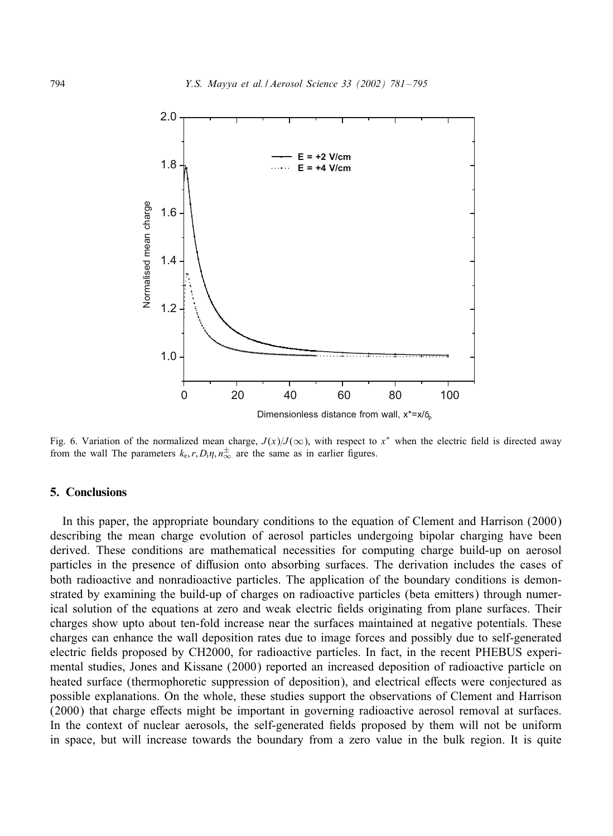![](_page_13_Figure_1.jpeg)

Fig. 6. Variation of the normalized mean charge,  $J(x)/J(\infty)$ , with respect to x<sup>∗</sup> when the electric field is directed away from the wall The parameters  $k_e, r, D_i \eta, n_{\infty}^{\pm}$  are the same as in earlier figures.

## 5. Conclusions

In this paper, the appropriate boundary conditions to the equation of Clement and Harrison (2000) describing the mean charge evolution of aerosol particles undergoing bipolar charging have been derived. These conditions are mathematical necessities for computing charge build-up on aerosol particles in the presence of diffusion onto absorbing surfaces. The derivation includes the cases of both radioactive and nonradioactive particles. The application of the boundary conditions is demonstrated by examining the build-up of charges on radioactive particles (beta emitters) through numerical solution of the equations at zero and weak electric fields originating from plane surfaces. Their charges show upto about ten-fold increase near the surfaces maintained at negative potentials. These charges can enhance the wall deposition rates due to image forces and possibly due to self-generated electric fields proposed by CH2000, for radioactive particles. In fact, in the recent PHEBUS experimental studies, Jones and Kissane (2000) reported an increased deposition of radioactive particle on heated surface (thermophoretic suppression of deposition), and electrical effects were conjectured as possible explanations. On the whole, these studies support the observations of Clement and Harrison  $(2000)$  that charge effects might be important in governing radioactive aerosol removal at surfaces. In the context of nuclear aerosols, the self-generated fields proposed by them will not be uniform in space, but will increase towards the boundary from a zero value in the bulk region. It is quite